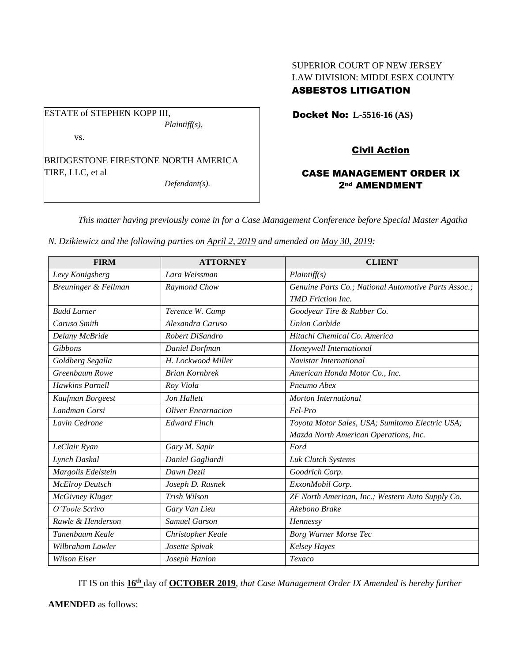# SUPERIOR COURT OF NEW JERSEY LAW DIVISION: MIDDLESEX COUNTY ASBESTOS LITIGATION

ESTATE of STEPHEN KOPP III, *Plaintiff(s),*

vs.

BRIDGESTONE FIRESTONE NORTH AMERICA TIRE, LLC, et al

*Defendant(s).*

Docket No: **L-5516-16 (AS)** 

# Civil Action

# CASE MANAGEMENT ORDER IX 2nd AMENDMENT

*This matter having previously come in for a Case Management Conference before Special Master Agatha* 

*N. Dzikiewicz and the following parties on April 2, 2019 and amended on May 30, 2019:*

| <b>FIRM</b>            | <b>ATTORNEY</b>       | <b>CLIENT</b>                                        |
|------------------------|-----------------------|------------------------------------------------------|
| Levy Konigsberg        | Lara Weissman         | Plaintiff(s)                                         |
| Breuninger & Fellman   | Raymond Chow          | Genuine Parts Co.; National Automotive Parts Assoc.; |
|                        |                       | <b>TMD</b> Friction Inc.                             |
| <b>Budd Larner</b>     | Terence W. Camp       | Goodyear Tire & Rubber Co.                           |
| Caruso Smith           | Alexandra Caruso      | <b>Union Carbide</b>                                 |
| Delany McBride         | Robert DiSandro       | Hitachi Chemical Co. America                         |
| Gibbons                | Daniel Dorfman        | Honeywell International                              |
| Goldberg Segalla       | H. Lockwood Miller    | Navistar International                               |
| Greenbaum Rowe         | <b>Brian Kornbrek</b> | American Honda Motor Co., Inc.                       |
| <b>Hawkins Parnell</b> | Roy Viola             | Pneumo Abex                                          |
| Kaufman Borgeest       | Jon Hallett           | Morton International                                 |
| Landman Corsi          | Oliver Encarnacion    | Fel-Pro                                              |
| Lavin Cedrone          | <b>Edward Finch</b>   | Toyota Motor Sales, USA; Sumitomo Electric USA;      |
|                        |                       | Mazda North American Operations, Inc.                |
| LeClair Ryan           | Gary M. Sapir         | Ford                                                 |
| Lynch Daskal           | Daniel Gagliardi      | Luk Clutch Systems                                   |
| Margolis Edelstein     | Dawn Dezii            | Goodrich Corp.                                       |
| <b>McElroy Deutsch</b> | Joseph D. Rasnek      | ExxonMobil Corp.                                     |
| McGivney Kluger        | Trish Wilson          | ZF North American, Inc.; Western Auto Supply Co.     |
| O'Toole Scrivo         | Gary Van Lieu         | Akebono Brake                                        |
| Rawle & Henderson      | <b>Samuel Garson</b>  | Hennessy                                             |
| Tanenbaum Keale        | Christopher Keale     | <b>Borg Warner Morse Tec</b>                         |
| Wilbraham Lawler       | Josette Spivak        | <b>Kelsey Hayes</b>                                  |
| <b>Wilson Elser</b>    | Joseph Hanlon         | Texaco                                               |

IT IS on this **16th** day of **OCTOBER 2019**, *that Case Management Order IX Amended is hereby further*

**AMENDED** as follows: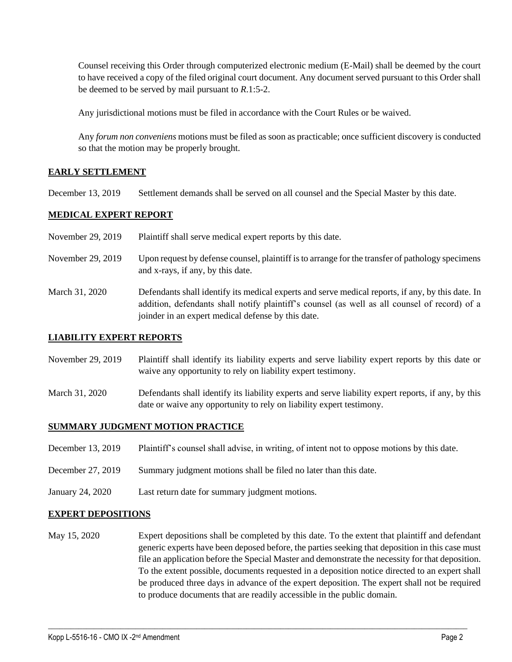Counsel receiving this Order through computerized electronic medium (E-Mail) shall be deemed by the court to have received a copy of the filed original court document. Any document served pursuant to this Order shall be deemed to be served by mail pursuant to *R*.1:5-2.

Any jurisdictional motions must be filed in accordance with the Court Rules or be waived.

Any *forum non conveniens* motions must be filed as soon as practicable; once sufficient discovery is conducted so that the motion may be properly brought.

### **EARLY SETTLEMENT**

December 13, 2019 Settlement demands shall be served on all counsel and the Special Master by this date.

#### **MEDICAL EXPERT REPORT**

- November 29, 2019 Plaintiff shall serve medical expert reports by this date.
- November 29, 2019 Upon request by defense counsel, plaintiff is to arrange for the transfer of pathology specimens and x-rays, if any, by this date.
- March 31, 2020 Defendants shall identify its medical experts and serve medical reports, if any, by this date. In addition, defendants shall notify plaintiff's counsel (as well as all counsel of record) of a joinder in an expert medical defense by this date.

### **LIABILITY EXPERT REPORTS**

- November 29, 2019 Plaintiff shall identify its liability experts and serve liability expert reports by this date or waive any opportunity to rely on liability expert testimony.
- March 31, 2020 Defendants shall identify its liability experts and serve liability expert reports, if any, by this date or waive any opportunity to rely on liability expert testimony.

### **SUMMARY JUDGMENT MOTION PRACTICE**

- December 13, 2019 Plaintiff's counsel shall advise, in writing, of intent not to oppose motions by this date.
- December 27, 2019 Summary judgment motions shall be filed no later than this date.
- January 24, 2020 Last return date for summary judgment motions.

#### **EXPERT DEPOSITIONS**

May 15, 2020 Expert depositions shall be completed by this date. To the extent that plaintiff and defendant generic experts have been deposed before, the parties seeking that deposition in this case must file an application before the Special Master and demonstrate the necessity for that deposition. To the extent possible, documents requested in a deposition notice directed to an expert shall be produced three days in advance of the expert deposition. The expert shall not be required to produce documents that are readily accessible in the public domain.

 $\_$  , and the set of the set of the set of the set of the set of the set of the set of the set of the set of the set of the set of the set of the set of the set of the set of the set of the set of the set of the set of th